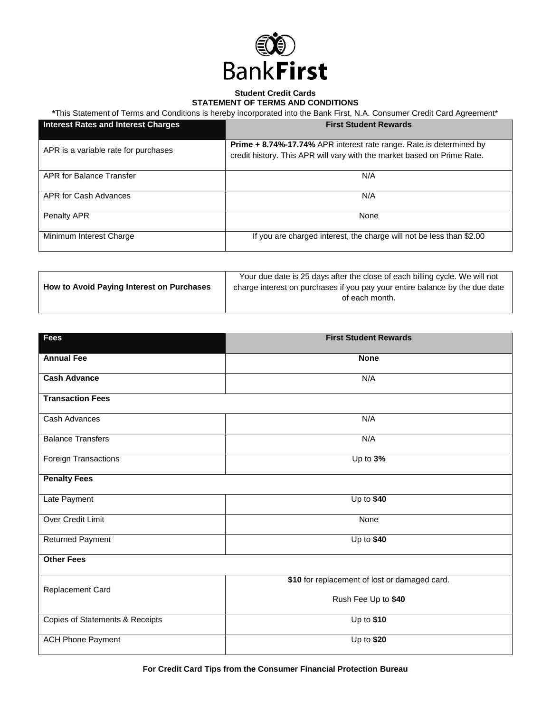

## **Student Credit Cards STATEMENT OF TERMS AND CONDITIONS**

**\***This Statement of Terms and Conditions is hereby incorporated into the Bank First, N.A. Consumer Credit Card Agreement\*

| <b>Interest Rates and Interest Charges</b> | <b>First Student Rewards</b>                                                                                                                          |
|--------------------------------------------|-------------------------------------------------------------------------------------------------------------------------------------------------------|
| APR is a variable rate for purchases       | <b>Prime + 8.74%-17.74%</b> APR interest rate range. Rate is determined by<br>credit history. This APR will vary with the market based on Prime Rate. |
| APR for Balance Transfer                   | N/A                                                                                                                                                   |
| APR for Cash Advances                      | N/A                                                                                                                                                   |
| Penalty APR                                | None                                                                                                                                                  |
| Minimum Interest Charge                    | If you are charged interest, the charge will not be less than \$2.00                                                                                  |

|                                           | Your due date is 25 days after the close of each billing cycle. We will not |
|-------------------------------------------|-----------------------------------------------------------------------------|
| How to Avoid Paying Interest on Purchases | charge interest on purchases if you pay your entire balance by the due date |
|                                           | of each month.                                                              |
|                                           |                                                                             |

| <b>Fees</b>                     | <b>First Student Rewards</b>                  |
|---------------------------------|-----------------------------------------------|
| <b>Annual Fee</b>               | <b>None</b>                                   |
| <b>Cash Advance</b>             | N/A                                           |
| <b>Transaction Fees</b>         |                                               |
| Cash Advances                   | N/A                                           |
| <b>Balance Transfers</b>        | N/A                                           |
| <b>Foreign Transactions</b>     | Up to 3%                                      |
| <b>Penalty Fees</b>             |                                               |
| Late Payment                    | Up to $$40$                                   |
| <b>Over Credit Limit</b>        | None                                          |
| Returned Payment                | Up to $$40$                                   |
| <b>Other Fees</b>               |                                               |
| Replacement Card                | \$10 for replacement of lost or damaged card. |
|                                 | Rush Fee Up to \$40                           |
| Copies of Statements & Receipts | $Up$ to \$10                                  |
| <b>ACH Phone Payment</b>        | Up to \$20                                    |